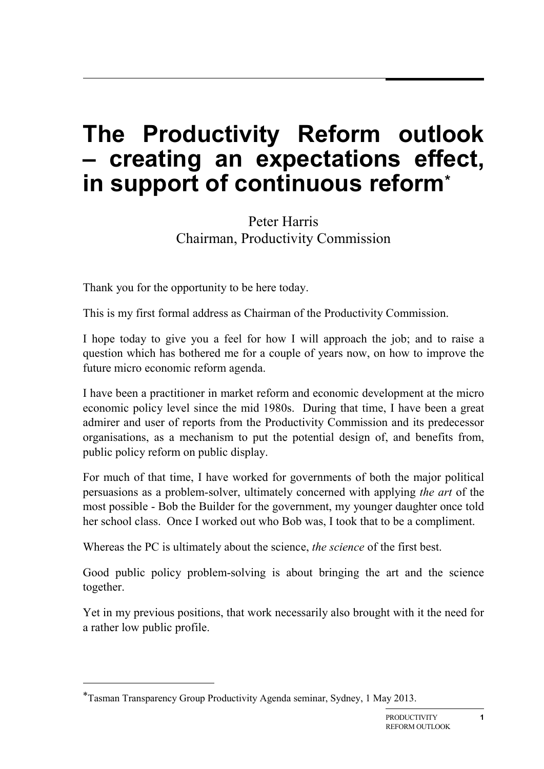## **The Productivity Reform outlook – creating an expectations effect, in support of continuous reform[\\*](#page-0-0)**

Peter Harris Chairman, Productivity Commission

Thank you for the opportunity to be here today.

This is my first formal address as Chairman of the Productivity Commission.

I hope today to give you a feel for how I will approach the job; and to raise a question which has bothered me for a couple of years now, on how to improve the future micro economic reform agenda.

I have been a practitioner in market reform and economic development at the micro economic policy level since the mid 1980s. During that time, I have been a great admirer and user of reports from the Productivity Commission and its predecessor organisations, as a mechanism to put the potential design of, and benefits from, public policy reform on public display.

For much of that time, I have worked for governments of both the major political persuasions as a problem-solver, ultimately concerned with applying *the art* of the most possible - Bob the Builder for the government, my younger daughter once told her school class. Once I worked out who Bob was, I took that to be a compliment.

Whereas the PC is ultimately about the science, *the science* of the first best.

Good public policy problem-solving is about bringing the art and the science together.

Yet in my previous positions, that work necessarily also brought with it the need for a rather low public profile.

-

<span id="page-0-0"></span><sup>\*</sup>Tasman Transparency Group Productivity Agenda seminar, Sydney, 1 May 2013.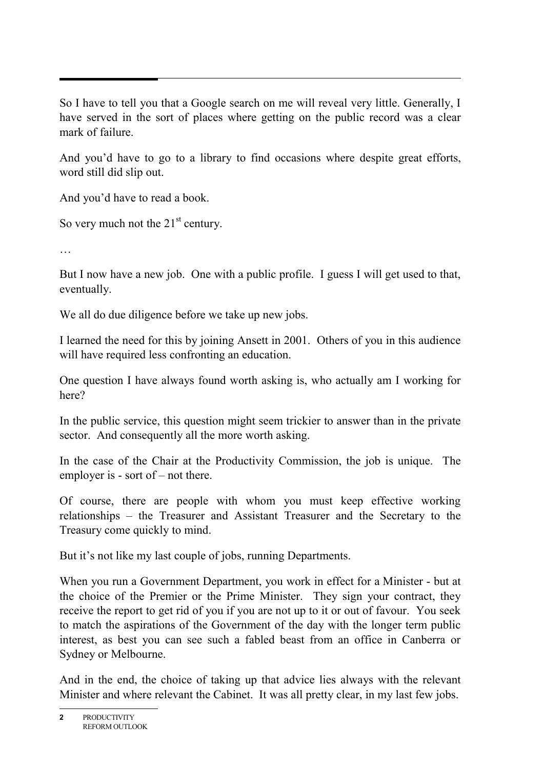So I have to tell you that a Google search on me will reveal very little. Generally, I have served in the sort of places where getting on the public record was a clear mark of failure.

And you'd have to go to a library to find occasions where despite great efforts, word still did slip out.

And you'd have to read a book.

So very much not the  $21<sup>st</sup>$  century.

…

But I now have a new job. One with a public profile. I guess I will get used to that, eventually.

We all do due diligence before we take up new jobs.

I learned the need for this by joining Ansett in 2001. Others of you in this audience will have required less confronting an education.

One question I have always found worth asking is, who actually am I working for here?

In the public service, this question might seem trickier to answer than in the private sector. And consequently all the more worth asking.

In the case of the Chair at the Productivity Commission, the job is unique. The employer is - sort of – not there.

Of course, there are people with whom you must keep effective working relationships – the Treasurer and Assistant Treasurer and the Secretary to the Treasury come quickly to mind.

But it's not like my last couple of jobs, running Departments.

When you run a Government Department, you work in effect for a Minister - but at the choice of the Premier or the Prime Minister. They sign your contract, they receive the report to get rid of you if you are not up to it or out of favour. You seek to match the aspirations of the Government of the day with the longer term public interest, as best you can see such a fabled beast from an office in Canberra or Sydney or Melbourne.

And in the end, the choice of taking up that advice lies always with the relevant Minister and where relevant the Cabinet. It was all pretty clear, in my last few jobs.

**<sup>2</sup>** PRODUCTIVITY REFORM OUTLOOK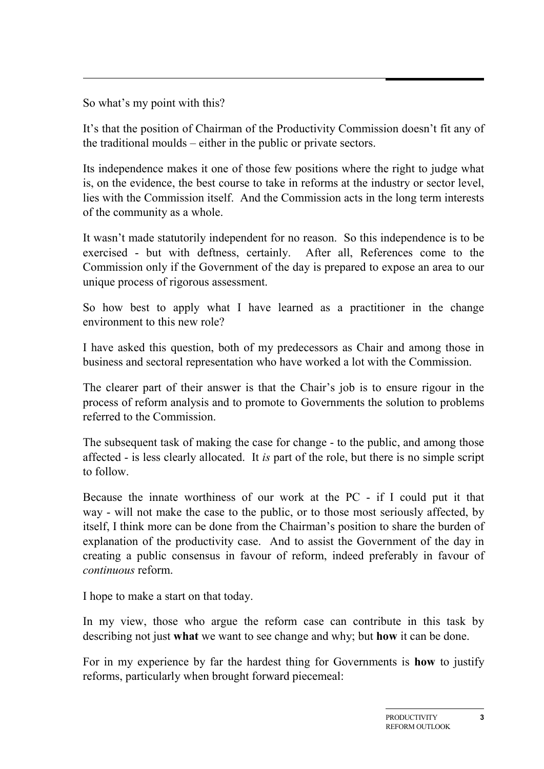So what's my point with this?

It's that the position of Chairman of the Productivity Commission doesn't fit any of the traditional moulds – either in the public or private sectors.

Its independence makes it one of those few positions where the right to judge what is, on the evidence, the best course to take in reforms at the industry or sector level, lies with the Commission itself. And the Commission acts in the long term interests of the community as a whole.

It wasn't made statutorily independent for no reason. So this independence is to be exercised - but with deftness, certainly. After all, References come to the Commission only if the Government of the day is prepared to expose an area to our unique process of rigorous assessment.

So how best to apply what I have learned as a practitioner in the change environment to this new role?

I have asked this question, both of my predecessors as Chair and among those in business and sectoral representation who have worked a lot with the Commission.

The clearer part of their answer is that the Chair's job is to ensure rigour in the process of reform analysis and to promote to Governments the solution to problems referred to the Commission.

The subsequent task of making the case for change - to the public, and among those affected - is less clearly allocated. It *is* part of the role, but there is no simple script to follow.

Because the innate worthiness of our work at the PC - if I could put it that way - will not make the case to the public, or to those most seriously affected, by itself, I think more can be done from the Chairman's position to share the burden of explanation of the productivity case. And to assist the Government of the day in creating a public consensus in favour of reform, indeed preferably in favour of *continuous* reform.

I hope to make a start on that today.

In my view, those who argue the reform case can contribute in this task by describing not just **what** we want to see change and why; but **how** it can be done.

For in my experience by far the hardest thing for Governments is **how** to justify reforms, particularly when brought forward piecemeal: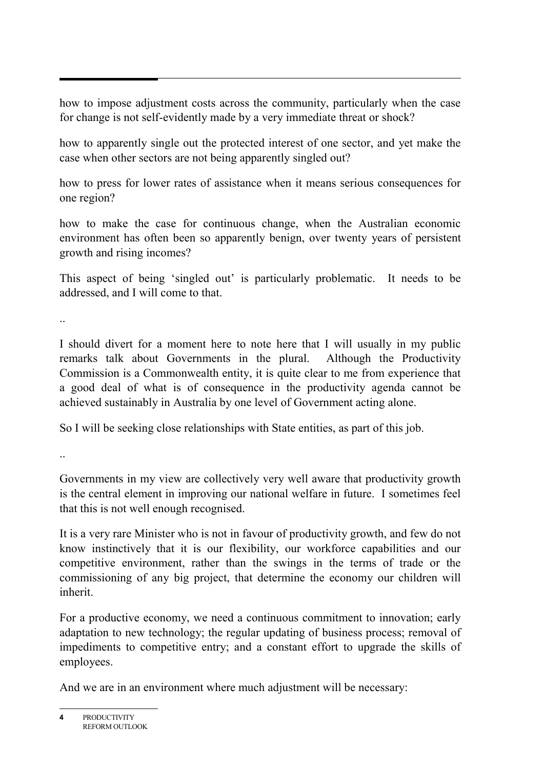how to impose adjustment costs across the community, particularly when the case for change is not self-evidently made by a very immediate threat or shock?

how to apparently single out the protected interest of one sector, and yet make the case when other sectors are not being apparently singled out?

how to press for lower rates of assistance when it means serious consequences for one region?

how to make the case for continuous change, when the Australian economic environment has often been so apparently benign, over twenty years of persistent growth and rising incomes?

This aspect of being 'singled out' is particularly problematic. It needs to be addressed, and I will come to that.

..

I should divert for a moment here to note here that I will usually in my public remarks talk about Governments in the plural. Although the Productivity Commission is a Commonwealth entity, it is quite clear to me from experience that a good deal of what is of consequence in the productivity agenda cannot be achieved sustainably in Australia by one level of Government acting alone.

So I will be seeking close relationships with State entities, as part of this job.

..

Governments in my view are collectively very well aware that productivity growth is the central element in improving our national welfare in future. I sometimes feel that this is not well enough recognised.

It is a very rare Minister who is not in favour of productivity growth, and few do not know instinctively that it is our flexibility, our workforce capabilities and our competitive environment, rather than the swings in the terms of trade or the commissioning of any big project, that determine the economy our children will inherit.

For a productive economy, we need a continuous commitment to innovation; early adaptation to new technology; the regular updating of business process; removal of impediments to competitive entry; and a constant effort to upgrade the skills of employees.

And we are in an environment where much adjustment will be necessary:

**4** PRODUCTIVITY REFORM OUTLOOK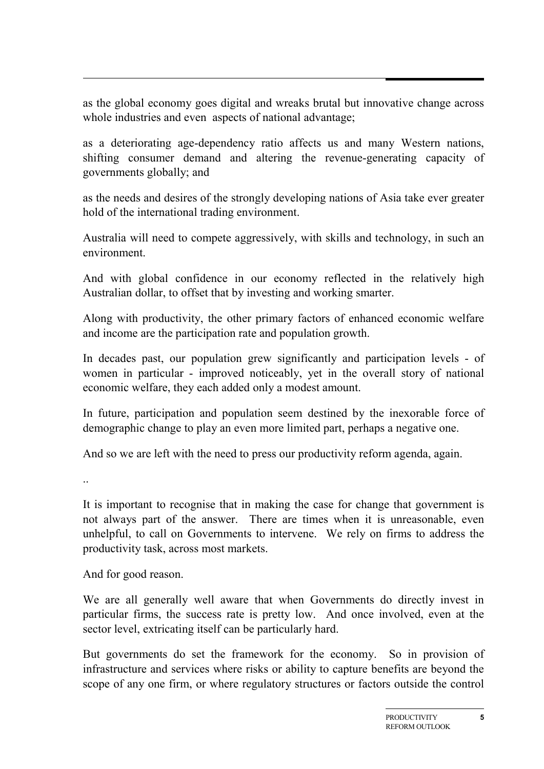as the global economy goes digital and wreaks brutal but innovative change across whole industries and even aspects of national advantage;

as a deteriorating age-dependency ratio affects us and many Western nations, shifting consumer demand and altering the revenue-generating capacity of governments globally; and

as the needs and desires of the strongly developing nations of Asia take ever greater hold of the international trading environment.

Australia will need to compete aggressively, with skills and technology, in such an environment.

And with global confidence in our economy reflected in the relatively high Australian dollar, to offset that by investing and working smarter.

Along with productivity, the other primary factors of enhanced economic welfare and income are the participation rate and population growth.

In decades past, our population grew significantly and participation levels - of women in particular - improved noticeably, yet in the overall story of national economic welfare, they each added only a modest amount.

In future, participation and population seem destined by the inexorable force of demographic change to play an even more limited part, perhaps a negative one.

And so we are left with the need to press our productivity reform agenda, again.

It is important to recognise that in making the case for change that government is not always part of the answer. There are times when it is unreasonable, even unhelpful, to call on Governments to intervene. We rely on firms to address the productivity task, across most markets.

And for good reason.

We are all generally well aware that when Governments do directly invest in particular firms, the success rate is pretty low. And once involved, even at the sector level, extricating itself can be particularly hard.

But governments do set the framework for the economy. So in provision of infrastructure and services where risks or ability to capture benefits are beyond the scope of any one firm, or where regulatory structures or factors outside the control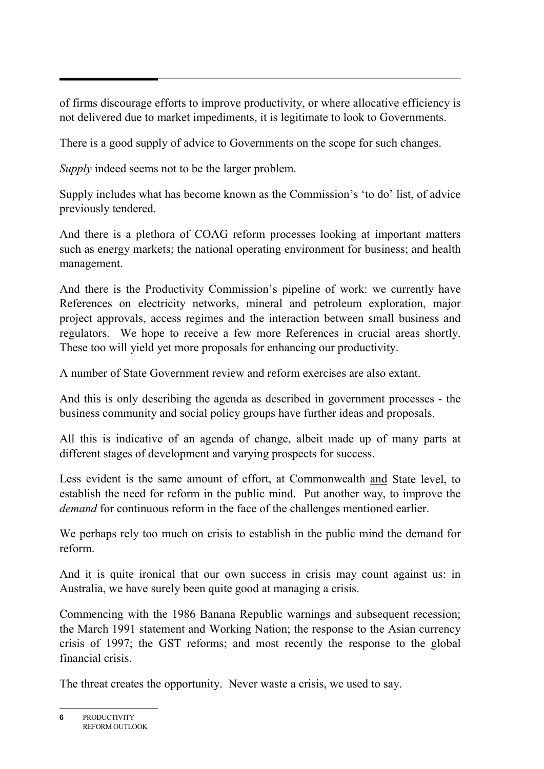of firms discourage efforts to improve productivity, or where allocative efficiency is not delivered due to market impediments, it is legitimate to look to Governments.

There is a good supply of advice to Governments on the scope for such changes.

*Supply* indeed seems not to be the larger problem.

Supply includes what has become known as the Commission's 'to do' list, of advice previously tendered.

And there is a plethora of COAG reform processes looking at important matters such as energy markets; the national operating environment for business; and health management.

And there is the Productivity Commission's pipeline of work: we currently have References on electricity networks, mineral and petroleum exploration, major project approvals, access regimes and the interaction between small business and regulators. We hope to receive a few more References in crucial areas shortly. These too will yield yet more proposals for enhancing our productivity.

A number of State Government review and reform exercises are also extant.

And this is only describing the agenda as described in government processes - the business community and social policy groups have further ideas and proposals.

All this is indicative of an agenda of change, albeit made up of many parts at different stages of development and varying prospects for success.

Less evident is the same amount of effort, at Commonwealth and State level, to establish the need for reform in the public mind. Put another way, to improve the *demand* for continuous reform in the face of the challenges mentioned earlier.

We perhaps rely too much on crisis to establish in the public mind the demand for reform.

And it is quite ironical that our own success in crisis may count against us: in Australia, we have surely been quite good at managing a crisis.

Commencing with the 1986 Banana Republic warnings and subsequent recession; the March 1991 statement and Working Nation; the response to the Asian currency crisis of 1997; the GST reforms; and most recently the response to the global financial crisis.

The threat creates the opportunity. Never waste a crisis, we used to say.

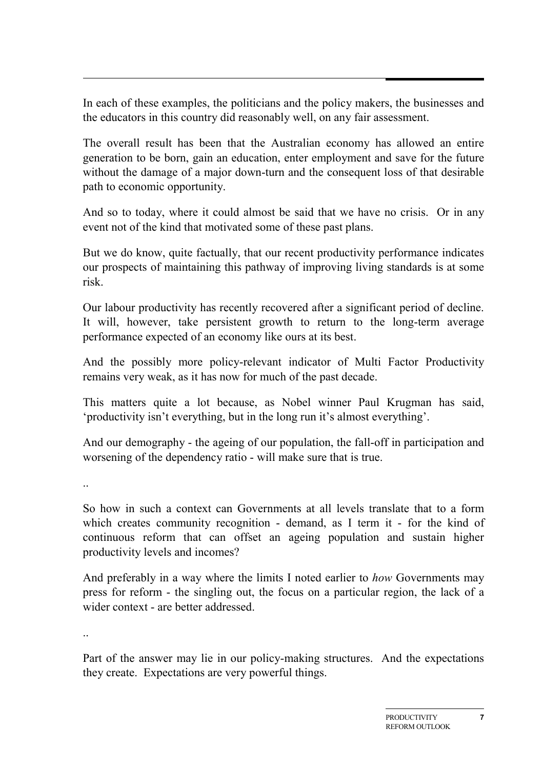In each of these examples, the politicians and the policy makers, the businesses and the educators in this country did reasonably well, on any fair assessment.

The overall result has been that the Australian economy has allowed an entire generation to be born, gain an education, enter employment and save for the future without the damage of a major down-turn and the consequent loss of that desirable path to economic opportunity.

And so to today, where it could almost be said that we have no crisis. Or in any event not of the kind that motivated some of these past plans.

But we do know, quite factually, that our recent productivity performance indicates our prospects of maintaining this pathway of improving living standards is at some risk.

Our labour productivity has recently recovered after a significant period of decline. It will, however, take persistent growth to return to the long-term average performance expected of an economy like ours at its best.

And the possibly more policy-relevant indicator of Multi Factor Productivity remains very weak, as it has now for much of the past decade.

This matters quite a lot because, as Nobel winner Paul Krugman has said, 'productivity isn't everything, but in the long run it's almost everything'.

And our demography - the ageing of our population, the fall-off in participation and worsening of the dependency ratio - will make sure that is true.

..

So how in such a context can Governments at all levels translate that to a form which creates community recognition - demand, as I term it - for the kind of continuous reform that can offset an ageing population and sustain higher productivity levels and incomes?

And preferably in a way where the limits I noted earlier to *how* Governments may press for reform - the singling out, the focus on a particular region, the lack of a wider context - are better addressed.

..

Part of the answer may lie in our policy-making structures. And the expectations they create. Expectations are very powerful things.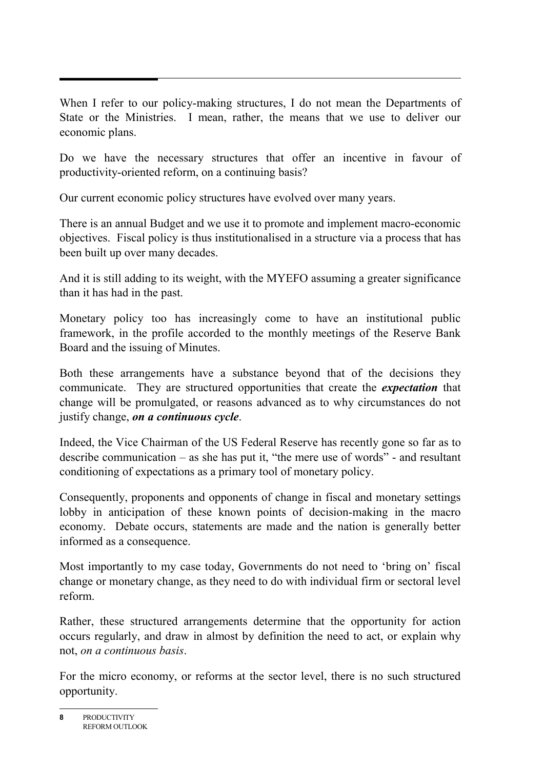When I refer to our policy-making structures, I do not mean the Departments of State or the Ministries. I mean, rather, the means that we use to deliver our economic plans.

Do we have the necessary structures that offer an incentive in favour of productivity-oriented reform, on a continuing basis?

Our current economic policy structures have evolved over many years.

There is an annual Budget and we use it to promote and implement macro-economic objectives. Fiscal policy is thus institutionalised in a structure via a process that has been built up over many decades.

And it is still adding to its weight, with the MYEFO assuming a greater significance than it has had in the past.

Monetary policy too has increasingly come to have an institutional public framework, in the profile accorded to the monthly meetings of the Reserve Bank Board and the issuing of Minutes.

Both these arrangements have a substance beyond that of the decisions they communicate. They are structured opportunities that create the *expectation* that change will be promulgated, or reasons advanced as to why circumstances do not justify change, *on a continuous cycle*.

Indeed, the Vice Chairman of the US Federal Reserve has recently gone so far as to describe communication – as she has put it, "the mere use of words" - and resultant conditioning of expectations as a primary tool of monetary policy.

Consequently, proponents and opponents of change in fiscal and monetary settings lobby in anticipation of these known points of decision-making in the macro economy. Debate occurs, statements are made and the nation is generally better informed as a consequence.

Most importantly to my case today, Governments do not need to 'bring on' fiscal change or monetary change, as they need to do with individual firm or sectoral level reform.

Rather, these structured arrangements determine that the opportunity for action occurs regularly, and draw in almost by definition the need to act, or explain why not, *on a continuous basis*.

For the micro economy, or reforms at the sector level, there is no such structured opportunity.

**<sup>8</sup>** PRODUCTIVITY REFORM OUTLOOK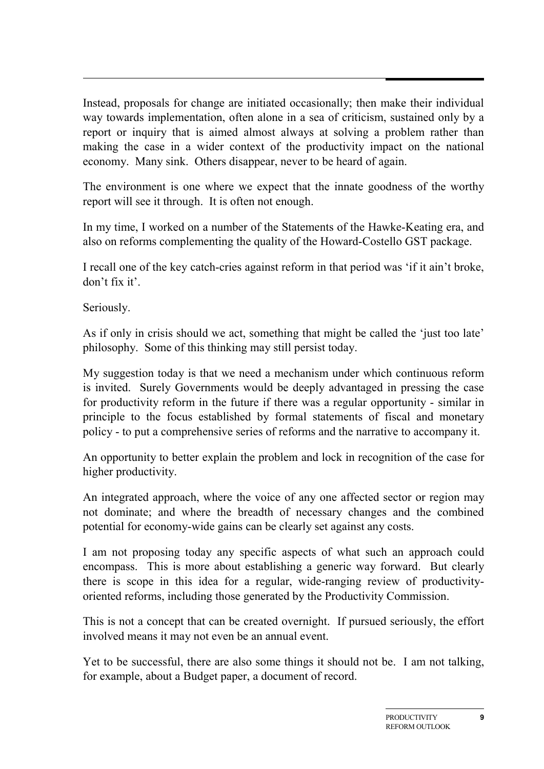Instead, proposals for change are initiated occasionally; then make their individual way towards implementation, often alone in a sea of criticism, sustained only by a report or inquiry that is aimed almost always at solving a problem rather than making the case in a wider context of the productivity impact on the national economy. Many sink. Others disappear, never to be heard of again.

The environment is one where we expect that the innate goodness of the worthy report will see it through. It is often not enough.

In my time, I worked on a number of the Statements of the Hawke-Keating era, and also on reforms complementing the quality of the Howard-Costello GST package.

I recall one of the key catch-cries against reform in that period was 'if it ain't broke, don't fix it'.

Seriously.

As if only in crisis should we act, something that might be called the 'just too late' philosophy. Some of this thinking may still persist today.

My suggestion today is that we need a mechanism under which continuous reform is invited. Surely Governments would be deeply advantaged in pressing the case for productivity reform in the future if there was a regular opportunity - similar in principle to the focus established by formal statements of fiscal and monetary policy - to put a comprehensive series of reforms and the narrative to accompany it.

An opportunity to better explain the problem and lock in recognition of the case for higher productivity.

An integrated approach, where the voice of any one affected sector or region may not dominate; and where the breadth of necessary changes and the combined potential for economy-wide gains can be clearly set against any costs.

I am not proposing today any specific aspects of what such an approach could encompass. This is more about establishing a generic way forward. But clearly there is scope in this idea for a regular, wide-ranging review of productivityoriented reforms, including those generated by the Productivity Commission.

This is not a concept that can be created overnight. If pursued seriously, the effort involved means it may not even be an annual event.

Yet to be successful, there are also some things it should not be. I am not talking, for example, about a Budget paper, a document of record.